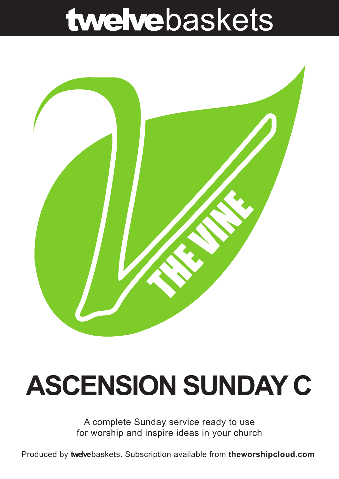# twelvebaskets



# **ASCENSION SUNDAY C**

A complete Sunday service ready to use for worship and inspire ideas in your church

Produced by **twelve**baskets. Subscription available from **theworshipcloud.com**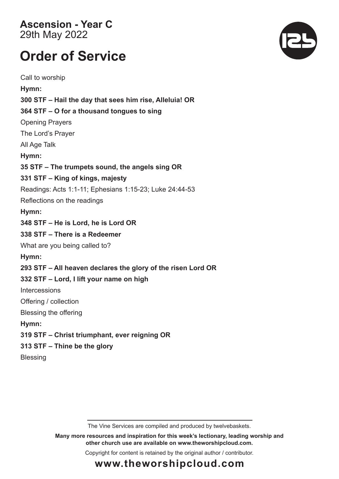**Ascension - Year C**  29th May 2022

## **Order of Service**

Call to worship **Hymn: 300 STF – Hail the day that sees him rise, Alleluia! OR 364 STF – O for a thousand tongues to sing** Opening Prayers The Lord's Prayer All Age Talk **Hymn: 35 STF – The trumpets sound, the angels sing OR 331 STF – King of kings, majesty** Readings: Acts 1:1-11; Ephesians 1:15-23; Luke 24:44-53 Reflections on the readings **Hymn: 348 STF – He is Lord, he is Lord OR 338 STF – There is a Redeemer**  What are you being called to? **Hymn: 293 STF – All heaven declares the glory of the risen Lord OR 332 STF – Lord, I lift your name on high** Intercessions Offering / collection Blessing the offering **Hymn: 319 STF – Christ triumphant, ever reigning OR 313 STF – Thine be the glory Blessing** 

The Vine Services are compiled and produced by twelvebaskets.

**Many more resources and inspiration for this week's lectionary, leading worship and other church use are available on www.theworshipcloud.com.**

Copyright for content is retained by the original author / contributor.



**www.theworshipcloud.com**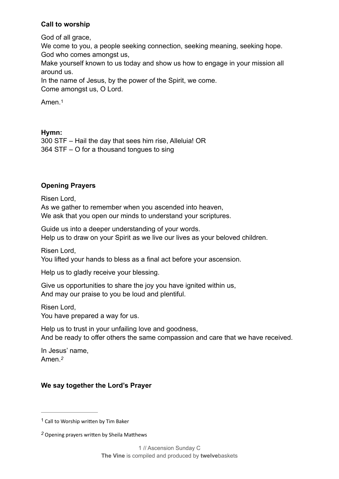#### **Call to worship**

God of all grace,

We come to you, a people seeking connection, seeking meaning, seeking hope. God who comes amongst us,

Make yourself known to us today and show us how to engage in your mission all around us.

In the name of Jesus, by the power of the Spirit, we come. Come amongst us, O Lord.

<span id="page-2-2"></span>Amen.[1](#page-2-0)

#### **Hymn:**

300 STF – Hail the day that sees him rise, Alleluia! OR 364 STF – O for a thousand tongues to sing

#### **Opening Prayers**

Risen Lord, As we gather to remember when you ascended into heaven, We ask that you open our minds to understand your scriptures.

Guide us into a deeper understanding of your words. Help us to draw on your Spirit as we live our lives as your beloved children.

Risen Lord, You lifted your hands to bless as a final act before your ascension.

Help us to gladly receive your blessing.

Give us opportunities to share the joy you have ignited within us, And may our praise to you be loud and plentiful.

Risen Lord, You have prepared a way for us.

Help us to trust in your unfailing love and goodness, And be ready to offer others the same compassion and care that we have received.

<span id="page-2-3"></span>In Jesus' name, Amen.*[2](#page-2-1)*

#### **We say together the Lord's Prayer**

<span id="page-2-0"></span> $1$  Call to Worship written by Tim Baker

<span id="page-2-1"></span>Opening prayers written by Sheila Matthews *[2](#page-2-3)*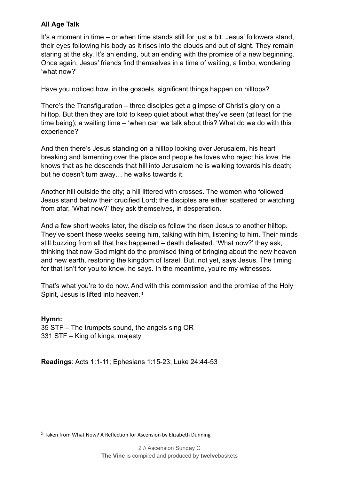#### **All Age Talk**

It's a moment in time – or when time stands still for just a bit. Jesus' followers stand, their eves following his body as it rises into the clouds and out of sight. They remain staring at the sky. It's an ending, but an ending with the promise of a new beginning. Once again, Jesus' friends find themselves in a time of waiting, a limbo, wondering 'what now?'

Have you noticed how, in the gospels, significant things happen on hilltops?

There's the Transfiguration – three disciples get a glimpse of Christ's glory on a hilltop. But then they are told to keep quiet about what they've seen (at least for the time being); a waiting time – 'when can we talk about this? What do we do with this experience?'

And then there's Jesus standing on a hilltop looking over Jerusalem, his heart breaking and lamenting over the place and people he loves who reject his love. He knows that as he descends that hill into Jerusalem he is walking towards his death: but he doesn't turn away... he walks towards it.

Another hill outside the city; a hill littered with crosses. The women who followed Jesus stand below their crucified Lord; the disciples are either scattered or watching from afar. 'What now?' they ask themselves, in desperation.

And a few short weeks later, the disciples follow the risen Jesus to another hilltop. They've spent these weeks seeing him, talking with him, listening to him. Their minds still buzzing from all that has happened - death defeated. 'What now?' they ask, thinking that now God might do the promised thing of bringing about the new heaven and new earth, restoring the kingdom of Israel. But, not yet, says Jesus. The timing for that isn't for you to know, he says. In the meantime, you're my witnesses.

<span id="page-3-0"></span>That's what you're to do now. And with this commission and the promise of the Holy Spirit, Jesus is lifted into heaven.<sup>3</sup>

Hymn: 35 STF – The trumpets sound, the angels sing OR 331 STF - King of kings, majesty

**Readings: Acts 1:1-11; Ephesians 1:15-23; Luke 24:44-53** 

 $3$  Taken from What Now? A Reflection for Ascension by Elizabeth Dunning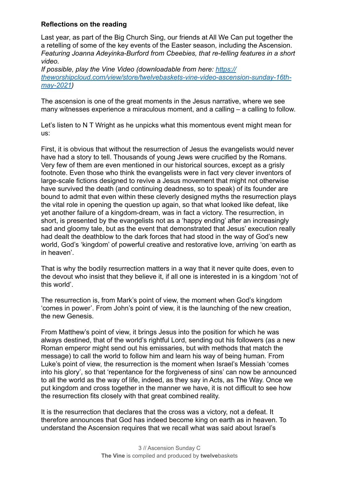#### **Reflections on the reading**

Last year, as part of the Big Church Sing, our friends at All We Can put together the a retelling of some of the key events of the Easter season, including the Ascension. *Featuring Joanna Adeyinka-Burford from Cbeebies, that re-telling features in a short video.*

*If possible, play the Vine Video (downloadable from here: [https://](https://theworshipcloud.com/view/store/twelvebaskets-vine-video-ascension-sunday-16th-may-2021) [theworshipcloud.com/view/store/twelvebaskets-vine-video-ascension-sunday-16th](https://theworshipcloud.com/view/store/twelvebaskets-vine-video-ascension-sunday-16th-may-2021)[may-2021](https://theworshipcloud.com/view/store/twelvebaskets-vine-video-ascension-sunday-16th-may-2021))* 

The ascension is one of the great moments in the Jesus narrative, where we see many witnesses experience a miraculous moment, and a calling – a calling to follow.

Let's listen to N T Wright as he unpicks what this momentous event might mean for us:

First, it is obvious that without the resurrection of Jesus the evangelists would never have had a story to tell. Thousands of young Jews were crucified by the Romans. Very few of them are even mentioned in our historical sources, except as a grisly footnote. Even those who think the evangelists were in fact very clever inventors of large-scale fictions designed to revive a Jesus movement that might not otherwise have survived the death (and continuing deadness, so to speak) of its founder are bound to admit that even within these cleverly designed myths the resurrection plays the vital role in opening the question up again, so that what looked like defeat, like yet another failure of a kingdom-dream, was in fact a victory. The resurrection, in short, is presented by the evangelists not as a 'happy ending' after an increasingly sad and gloomy tale, but as the event that demonstrated that Jesus' execution really had dealt the deathblow to the dark forces that had stood in the way of God's new world, God's 'kingdom' of powerful creative and restorative love, arriving 'on earth as in heaven'.

That is why the bodily resurrection matters in a way that it never quite does, even to the devout who insist that they believe it, if all one is interested in is a kingdom 'not of this world'.

The resurrection is, from Mark's point of view, the moment when God's kingdom 'comes in power'. From John's point of view, it is the launching of the new creation, the new Genesis.

From Matthew's point of view, it brings Jesus into the position for which he was always destined, that of the world's rightful Lord, sending out his followers (as a new Roman emperor might send out his emissaries, but with methods that match the message) to call the world to follow him and learn his way of being human. From Luke's point of view, the resurrection is the moment when Israel's Messiah 'comes into his glory', so that 'repentance for the forgiveness of sins' can now be announced to all the world as the way of life, indeed, as they say in Acts, as The Way. Once we put kingdom and cross together in the manner we have, it is not difficult to see how the resurrection fits closely with that great combined reality.

It is the resurrection that declares that the cross was a victory, not a defeat. It therefore announces that God has indeed become king on earth as in heaven. To understand the Ascension requires that we recall what was said about Israel's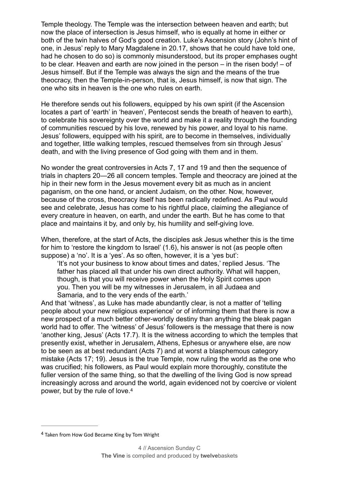Temple theology. The Temple was the intersection between heaven and earth; but now the place of intersection is Jesus himself, who is equally at home in either or both of the twin halves of God's good creation. Luke's Ascension story (John's hint of one, in Jesus' reply to Mary Magdalene in 20.17, shows that he could have told one, had he chosen to do so) is commonly misunderstood, but its proper emphases ought to be clear. Heaven and earth are now joined in the person – in the risen body! – of Jesus himself. But if the Temple was always the sign and the means of the true theocracy, then the Temple-in-person, that is, Jesus himself, is now that sign. The one who sits in heaven is the one who rules on earth.

He therefore sends out his followers, equipped by his own spirit (if the Ascension locates a part of 'earth' in 'heaven', Pentecost sends the breath of heaven to earth), to celebrate his sovereignty over the world and make it a reality through the founding of communities rescued by his love, renewed by his power, and loyal to his name. Jesus' followers, equipped with his spirit, are to become in themselves, individually and together, little walking temples, rescued themselves from sin through Jesus' death, and with the living presence of God going with them and in them.

No wonder the great controversies in Acts 7, 17 and 19 and then the sequence of trials in chapters 20—26 all concern temples. Temple and theocracy are joined at the hip in their new form in the Jesus movement every bit as much as in ancient paganism, on the one hand, or ancient Judaism, on the other. Now, however, because of the cross, theocracy itself has been radically redefined. As Paul would see and celebrate, Jesus has come to his rightful place, claiming the allegiance of every creature in heaven, on earth, and under the earth. But he has come to that place and maintains it by, and only by, his humility and self-giving love.

When, therefore, at the start of Acts, the disciples ask Jesus whether this is the time for him to 'restore the kingdom to Israel' (1.6), his answer is not (as people often suppose) a 'no'. It is a 'yes'. As so often, however, it is a 'yes but':

'It's not your business to know about times and dates,' replied Jesus. 'The father has placed all that under his own direct authority. What will happen, though, is that you will receive power when the Holy Spirit comes upon you. Then you will be my witnesses in Jerusalem, in all Judaea and Samaria, and to the very ends of the earth.'

And that 'witness', as Luke has made abundantly clear, is not a matter of 'telling people about your new religious experience' or of informing them that there is now a new prospect of a much better other-worldly destiny than anything the bleak pagan world had to offer. The 'witness' of Jesus' followers is the message that there is now 'another king, Jesus' (Acts 17.7). It is the witness according to which the temples that presently exist, whether in Jerusalem, Athens, Ephesus or anywhere else, are now to be seen as at best redundant (Acts 7) and at worst a blasphemous category mistake (Acts 17; 19). Jesus is the true Temple, now ruling the world as the one who was crucified; his followers, as Paul would explain more thoroughly, constitute the fuller version of the same thing, so that the dwelling of the living God is now spread increasingly across and around the world, again evidenced not by coercive or violent power, but by the rule of love.[4](#page-5-0)

<span id="page-5-1"></span><span id="page-5-0"></span><sup>&</sup>lt;sup>[4](#page-5-1)</sup> Taken from How God Became King by Tom Wright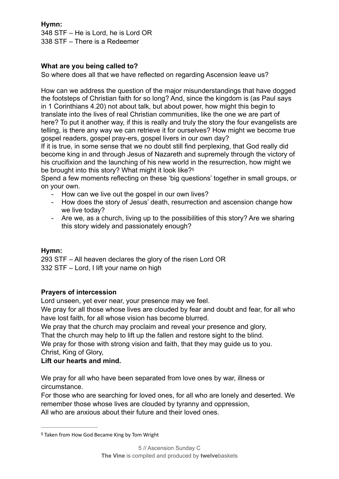### **Hymn:**

348 STF – He is Lord, he is Lord OR 338 STF – There is a Redeemer

#### **What are you being called to?**

So where does all that we have reflected on regarding Ascension leave us?

How can we address the question of the major misunderstandings that have dogged the footsteps of Christian faith for so long? And, since the kingdom is (as Paul says in 1 Corinthians 4.20) not about talk, but about power, how might this begin to translate into the lives of real Christian communities, like the one we are part of here? To put it another way, if this is really and truly the story the four evangelists are telling, is there any way we can retrieve it for ourselves? How might we become true gospel readers, gospel pray-ers, gospel livers in our own day?

If it is true, in some sense that we no doubt still find perplexing, that God really did become king in and through Jesus of Nazareth and supremely through the victory of his crucifixion and the launching of his new world in the resurrection, how might we be brought into this story? What might it look like?<sup>[5](#page-6-0)</sup>

Spend a few moments reflecting on these 'big questions' together in small groups, or on your own.

- <span id="page-6-1"></span>How can we live out the gospel in our own lives?
- How does the story of Jesus' death, resurrection and ascension change how we live today?
- Are we, as a church, living up to the possibilities of this story? Are we sharing this story widely and passionately enough?

#### **Hymn:**

293 STF – All heaven declares the glory of the risen Lord OR 332 STF - Lord, I lift your name on high

#### **Prayers of intercession**

Lord unseen, yet ever near, your presence may we feel.

We pray for all those whose lives are clouded by fear and doubt and fear, for all who have lost faith, for all whose vision has become blurred.

We pray that the church may proclaim and reveal your presence and glory.

That the church may help to lift up the fallen and restore sight to the blind.

We pray for those with strong vision and faith, that they may guide us to you. Christ. King of Glory.

#### Lift our hearts and mind.

We pray for all who have been separated from love ones by war, illness or circumstance.

For those who are searching for loved ones, for all who are lonely and deserted. We remember those whose lives are clouded by tyranny and oppression. All who are anxious about their future and their loved ones.

<span id="page-6-0"></span><sup>&</sup>lt;sup>[5](#page-6-1)</sup> Taken from How God Became King by Tom Wright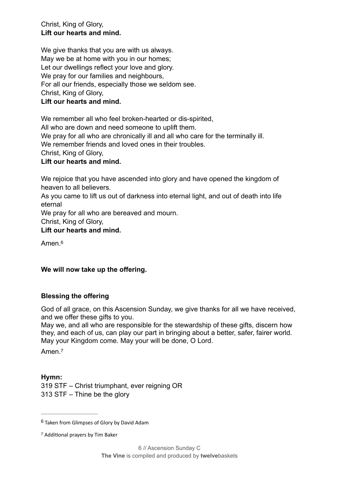#### Christ, King of Glory, **Lift our hearts and mind.**

We give thanks that you are with us always. May we be at home with you in our homes; Let our dwellings reflect your love and glory. We pray for our families and neighbours, For all our friends, especially those we seldom see. Christ, King of Glory, **Lift our hearts and mind.**

We remember all who feel broken-hearted or dis-spirited, All who are down and need someone to uplift them. We pray for all who are chronically ill and all who care for the terminally ill. We remember friends and loved ones in their troubles. Christ, King of Glory,

#### **Lift our hearts and mind.**

We rejoice that you have ascended into glory and have opened the kingdom of heaven to all believers.

As you came to lift us out of darkness into eternal light, and out of death into life eternal

We pray for all who are bereaved and mourn.

Christ, King of Glory,

#### **Lift our hearts and mind.**

<span id="page-7-2"></span>Amen <sup>[6](#page-7-0)</sup>

#### **We will now take up the offering.**

#### **Blessing the offering**

God of all grace, on this Ascension Sunday, we give thanks for all we have received, and we offer these gifts to you.

May we, and all who are responsible for the stewardship of these gifts, discern how they, and each of us, can play our part in bringing about a better, safer, fairer world. May your Kingdom come. May your will be done, O Lord.

<span id="page-7-3"></span>Amen<sup>[7](#page-7-1)</sup>

### **Hymn:**

319 STF – Christ triumphant, ever reigning OR 313 STF – Thine be the glory

<span id="page-7-0"></span>[<sup>6</sup>](#page-7-2) Taken from Glimpses of Glory by David Adam

<span id="page-7-1"></span><sup>&</sup>lt;sup>[7](#page-7-3)</sup> Additional prayers by Tim Baker